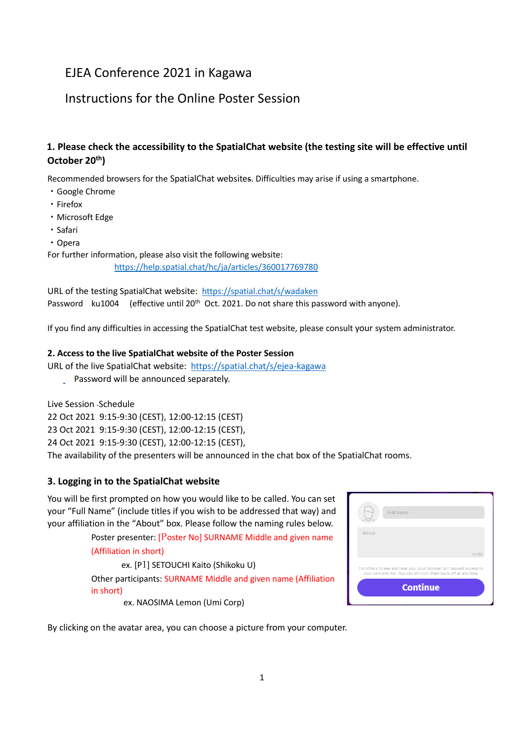# EJEA Conference 2021 in Kagawa

# Instructions for the Online Poster Session

## **1. Please check the accessibility to the SpatialChat website (the testing site will be effective until October 20th)**

Recommended browsers for the SpatialChat websites. Difficulties may arise if using a smartphone.

- ・Google Chrome
- ・Firefox
- ・Microsoft Edge
- ・Safari
- ・Opera

For further information, please also visit the following website:

<https://help.spatial.chat/hc/ja/articles/360017769780>

URL of the testing SpatialChat website: <https://spatial.chat/s/wadaken> Password ku1004 (effective until 20<sup>th</sup> Oct. 2021. Do not share this password with anyone).

If you find any difficulties in accessing the SpatialChat test website, please consult your system administrator.

#### **2. Access to the live SpatialChat website of the Poster Session**

URL of the live SpatialChat website: <https://spatial.chat/s/ejea-kagawa>

Password will be announced separately.

Live Session Schedule

22 Oct 2021 9:15-9:30 (CEST), 12:00-12:15 (CEST)

23 Oct 2021 9:15-9:30 (CEST), 12:00-12:15 (CEST),

24 Oct 2021 9:15-9:30 (CEST), 12:00-12:15 (CEST),

The availability of the presenters will be announced in the chat box of the SpatialChat rooms.

#### **3. Logging in to the SpatialChat website**

You will be first prompted on how you would like to be called. You can set your "Full Name" (include titles if you wish to be addressed that way) and your affiliation in the "About" box. Please follow the naming rules below.

> Poster presenter: [Poster No] SURNAME Middle and given name (Affiliation in short)

> ex. [P1] SETOUCHI Kaito (Shikoku U) Other participants: SURNAME Middle and given name (Affiliation in short)

|       | Full Name                                                                          |       |
|-------|------------------------------------------------------------------------------------|-------|
| About |                                                                                    |       |
|       | For others to see and hear you, your browser will request access to                | 0/250 |
|       | your cam and mic. You can still turn them back off at any time.<br><b>Continue</b> |       |

ex. NAOSIMA Lemon (Umi Corp)

By clicking on the avatar area, you can choose a picture from your computer.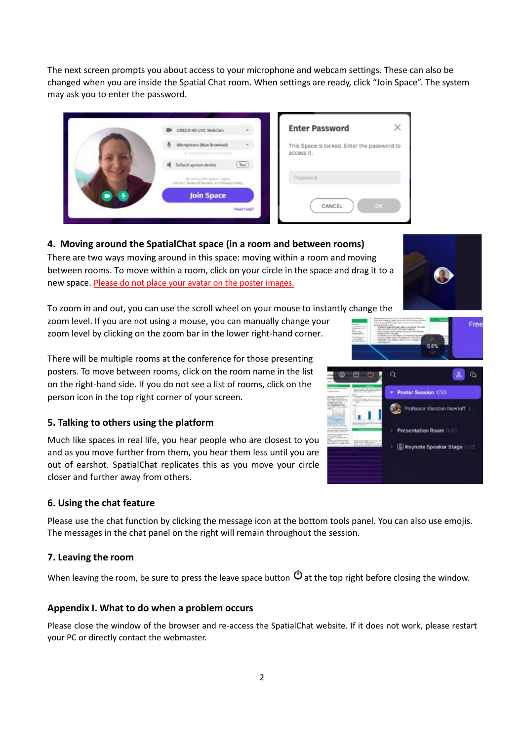The next screen prompts you about access to your microphone and webcam settings. These can also be changed when you are inside the Spatial Chat room. When settings are ready, click "Join Space". The system may ask you to enter the password.

| USB2.0 HD UVC WebCam<br>¥,                                                                                        | <b>Enter Password</b>                                     |
|-------------------------------------------------------------------------------------------------------------------|-----------------------------------------------------------|
| Microphone (Blue Snowball)<br>8 SEPTEMBERGING                                                                     | This Space is locked. Enter the password to<br>access it. |
| Default system device<br>Tost<br>By joining this space, 2 agree.<br>with the Terms of Bervion and Privacy Policy. | Password                                                  |
| <b>Join Space</b>                                                                                                 |                                                           |
| Neart Help?                                                                                                       | OK<br>CANCEL                                              |

**4. Moving around the SpatialChat space (in a room and between rooms)**

There are two ways moving around in this space: moving within a room and moving between rooms. To move within a room, click on your circle in the space and drag it to a new space. Please do not place your avatar on the poster images.

To zoom in and out, you can use the scroll wheel on your mouse to instantly change the

zoom level. If you are not using a mouse, you can manually change your zoom level by clicking on the zoom bar in the lower right-hand corner.

There will be multiple rooms at the conference for those presenting posters. To move between rooms, click on the room name in the list on the right-hand side. If you do not see a list of rooms, click on the person icon in the top right corner of your screen.

### **5. Talking to others using the platform**

Much like spaces in real life, you hear people who are closest to you and as you move further from them, you hear them less until you are out of earshot. SpatialChat replicates this as you move your circle closer and further away from others.

### **6. Using the chat feature**

Please use the chat function by clicking the message icon at the bottom tools panel. You can also use emojis. The messages in the chat panel on the right will remain throughout the session.

### **7. Leaving the room**

When leaving the room, be sure to press the leave space button  $\Phi$  at the top right before closing the window.

### **Appendix I. What to do when a problem occurs**

Please close the window of the browser and re-access the SpatialChat website. If it does not work, please restart your PC or directly contact the webmaster.



Free